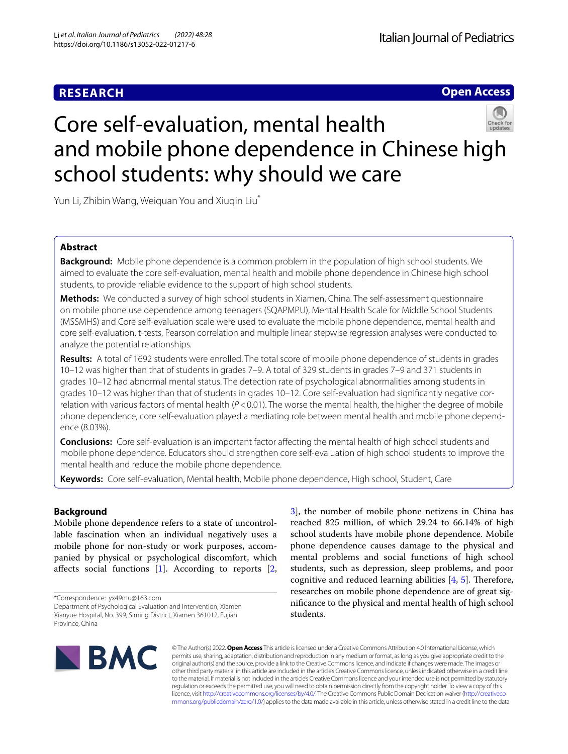# **RESEARCH**

**Open Access**

# Core self-evaluation, mental health and mobile phone dependence in Chinese high school students: why should we care

Yun Li, Zhibin Wang, Weiquan You and Xiuqin Liu<sup>\*</sup>

# **Abstract**

**Background:** Mobile phone dependence is a common problem in the population of high school students. We aimed to evaluate the core self-evaluation, mental health and mobile phone dependence in Chinese high school students, to provide reliable evidence to the support of high school students.

**Methods:** We conducted a survey of high school students in Xiamen, China. The self-assessment questionnaire on mobile phone use dependence among teenagers (SQAPMPU), Mental Health Scale for Middle School Students (MSSMHS) and Core self-evaluation scale were used to evaluate the mobile phone dependence, mental health and core self-evaluation. t-tests, Pearson correlation and multiple linear stepwise regression analyses were conducted to analyze the potential relationships.

**Results:** A total of 1692 students were enrolled. The total score of mobile phone dependence of students in grades 10–12 was higher than that of students in grades 7–9. A total of 329 students in grades 7–9 and 371 students in grades 10–12 had abnormal mental status. The detection rate of psychological abnormalities among students in grades 10–12 was higher than that of students in grades 10–12. Core self-evaluation had signifcantly negative correlation with various factors of mental health (*P*<0.01). The worse the mental health, the higher the degree of mobile phone dependence, core self-evaluation played a mediating role between mental health and mobile phone dependence (8.03%).

**Conclusions:** Core self-evaluation is an important factor afecting the mental health of high school students and mobile phone dependence. Educators should strengthen core self-evaluation of high school students to improve the mental health and reduce the mobile phone dependence.

**Keywords:** Core self-evaluation, Mental health, Mobile phone dependence, High school, Student, Care

# **Background**

Mobile phone dependence refers to a state of uncontrollable fascination when an individual negatively uses a mobile phone for non-study or work purposes, accompanied by physical or psychological discomfort, which afects social functions [[1\]](#page-6-0). According to reports [\[2](#page-6-1),

\*Correspondence: yx49mu@163.com

Department of Psychological Evaluation and Intervention, Xiamen Xianyue Hospital, No. 399, Siming District, Xiamen 361012, Fujian Province, China

[3\]](#page-6-2), the number of mobile phone netizens in China has reached 825 million, of which 29.24 to 66.14% of high school students have mobile phone dependence. Mobile phone dependence causes damage to the physical and mental problems and social functions of high school students, such as depression, sleep problems, and poor cognitive and reduced learning abilities  $[4, 5]$  $[4, 5]$  $[4, 5]$  $[4, 5]$ . Therefore, researches on mobile phone dependence are of great signifcance to the physical and mental health of high school students.



© The Author(s) 2022. **Open Access** This article is licensed under a Creative Commons Attribution 4.0 International License, which permits use, sharing, adaptation, distribution and reproduction in any medium or format, as long as you give appropriate credit to the original author(s) and the source, provide a link to the Creative Commons licence, and indicate if changes were made. The images or other third party material in this article are included in the article's Creative Commons licence, unless indicated otherwise in a credit line to the material. If material is not included in the article's Creative Commons licence and your intended use is not permitted by statutory regulation or exceeds the permitted use, you will need to obtain permission directly from the copyright holder. To view a copy of this licence, visit [http://creativecommons.org/licenses/by/4.0/.](http://creativecommons.org/licenses/by/4.0/) The Creative Commons Public Domain Dedication waiver ([http://creativeco](http://creativecommons.org/publicdomain/zero/1.0/) [mmons.org/publicdomain/zero/1.0/](http://creativecommons.org/publicdomain/zero/1.0/)) applies to the data made available in this article, unless otherwise stated in a credit line to the data.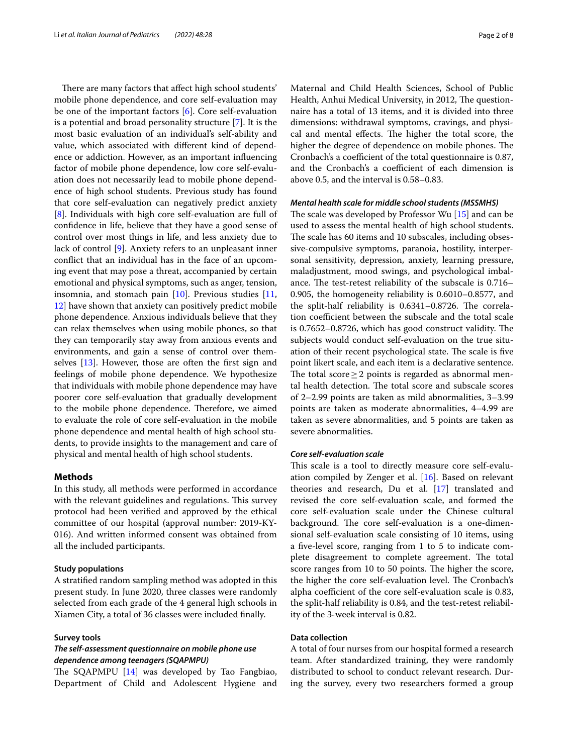There are many factors that affect high school students' mobile phone dependence, and core self-evaluation may be one of the important factors [\[6\]](#page-6-5). Core self-evaluation is a potential and broad personality structure [[7\]](#page-6-6). It is the most basic evaluation of an individual's self-ability and value, which associated with diferent kind of dependence or addiction. However, as an important infuencing factor of mobile phone dependence, low core self-evaluation does not necessarily lead to mobile phone dependence of high school students. Previous study has found that core self-evaluation can negatively predict anxiety [[8\]](#page-6-7). Individuals with high core self-evaluation are full of confdence in life, believe that they have a good sense of control over most things in life, and less anxiety due to lack of control [[9\]](#page-6-8). Anxiety refers to an unpleasant inner confict that an individual has in the face of an upcoming event that may pose a threat, accompanied by certain emotional and physical symptoms, such as anger, tension, insomnia, and stomach pain [[10\]](#page-6-9). Previous studies [\[11](#page-6-10), [12\]](#page-6-11) have shown that anxiety can positively predict mobile phone dependence. Anxious individuals believe that they can relax themselves when using mobile phones, so that they can temporarily stay away from anxious events and environments, and gain a sense of control over themselves [[13](#page-6-12)]. However, those are often the frst sign and feelings of mobile phone dependence. We hypothesize that individuals with mobile phone dependence may have poorer core self-evaluation that gradually development to the mobile phone dependence. Therefore, we aimed to evaluate the role of core self-evaluation in the mobile phone dependence and mental health of high school students, to provide insights to the management and care of physical and mental health of high school students.

# **Methods**

In this study, all methods were performed in accordance with the relevant guidelines and regulations. This survey protocol had been verifed and approved by the ethical committee of our hospital (approval number: 2019-KY-016). And written informed consent was obtained from all the included participants.

# **Study populations**

A stratifed random sampling method was adopted in this present study. In June 2020, three classes were randomly selected from each grade of the 4 general high schools in Xiamen City, a total of 36 classes were included fnally.

## **Survey tools**

# *The self‑assessment questionnaire on mobile phone use dependence among teenagers (SQAPMPU)*

The SQAPMPU  $[14]$  was developed by Tao Fangbiao, Department of Child and Adolescent Hygiene and Maternal and Child Health Sciences, School of Public Health, Anhui Medical University, in 2012, The questionnaire has a total of 13 items, and it is divided into three dimensions: withdrawal symptoms, cravings, and physical and mental effects. The higher the total score, the higher the degree of dependence on mobile phones. The Cronbach's a coefficient of the total questionnaire is 0.87, and the Cronbach's a coefficient of each dimension is above 0.5, and the interval is 0.58–0.83.

#### *Mental health scale for middle school students (MSSMHS)*

The scale was developed by Professor Wu  $[15]$  $[15]$  and can be used to assess the mental health of high school students. The scale has 60 items and 10 subscales, including obsessive-compulsive symptoms, paranoia, hostility, interpersonal sensitivity, depression, anxiety, learning pressure, maladjustment, mood swings, and psychological imbalance. The test-retest reliability of the subscale is  $0.716-$ 0.905, the homogeneity reliability is 0.6010–0.8577, and the split-half reliability is  $0.6341 - 0.8726$ . The correlation coefficient between the subscale and the total scale is  $0.7652 - 0.8726$ , which has good construct validity. The subjects would conduct self-evaluation on the true situation of their recent psychological state. The scale is five point likert scale, and each item is a declarative sentence. The total score  $\geq$  2 points is regarded as abnormal mental health detection. The total score and subscale scores of 2–2.99 points are taken as mild abnormalities, 3–3.99 points are taken as moderate abnormalities, 4–4.99 are taken as severe abnormalities, and 5 points are taken as severe abnormalities.

#### *Core self‑evaluation scale*

This scale is a tool to directly measure core self-evaluation compiled by Zenger et al. [\[16](#page-6-15)]. Based on relevant theories and research, Du et al. [[17\]](#page-6-16) translated and revised the core self-evaluation scale, and formed the core self-evaluation scale under the Chinese cultural background. The core self-evaluation is a one-dimensional self-evaluation scale consisting of 10 items, using a fve-level score, ranging from 1 to 5 to indicate complete disagreement to complete agreement. The total score ranges from 10 to 50 points. The higher the score, the higher the core self-evaluation level. The Cronbach's alpha coefficient of the core self-evaluation scale is 0.83, the split-half reliability is 0.84, and the test-retest reliability of the 3-week interval is 0.82.

## **Data collection**

A total of four nurses from our hospital formed a research team. After standardized training, they were randomly distributed to school to conduct relevant research. During the survey, every two researchers formed a group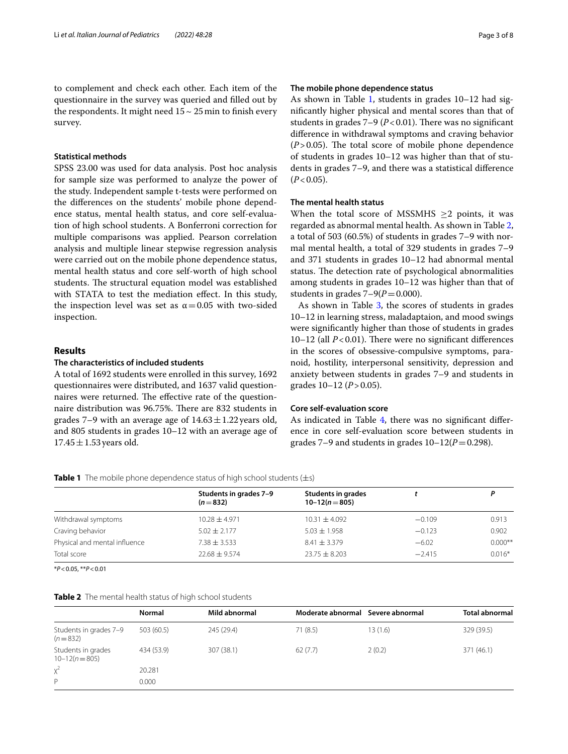to complement and check each other. Each item of the questionnaire in the survey was queried and flled out by the respondents. It might need  $15 \sim 25$  min to finish every survey.

# **Statistical methods**

SPSS 23.00 was used for data analysis. Post hoc analysis for sample size was performed to analyze the power of the study. Independent sample t-tests were performed on the diferences on the students' mobile phone dependence status, mental health status, and core self-evaluation of high school students. A Bonferroni correction for multiple comparisons was applied. Pearson correlation analysis and multiple linear stepwise regression analysis were carried out on the mobile phone dependence status, mental health status and core self-worth of high school students. The structural equation model was established with STATA to test the mediation efect. In this study, the inspection level was set as  $\alpha$  = 0.05 with two-sided inspection.

# **Results**

# **The characteristics of included students**

A total of 1692 students were enrolled in this survey, 1692 questionnaires were distributed, and 1637 valid questionnaires were returned. The effective rate of the questionnaire distribution was 96.75%. There are 832 students in grades 7–9 with an average age of  $14.63 \pm 1.22$  years old, and 805 students in grades 10–12 with an average age of  $17.45 \pm 1.53$  years old.

# **The mobile phone dependence status**

As shown in Table [1](#page-2-0), students in grades 10–12 had signifcantly higher physical and mental scores than that of students in grades  $7-9$  ( $P < 0.01$ ). There was no significant diference in withdrawal symptoms and craving behavior  $(P>0.05)$ . The total score of mobile phone dependence of students in grades 10–12 was higher than that of students in grades 7–9, and there was a statistical diference  $(P<0.05)$ .

# **The mental health status**

When the total score of MSSMHS  $>2$  points, it was regarded as abnormal mental health. As shown in Table [2](#page-2-1), a total of 503 (60.5%) of students in grades 7–9 with normal mental health, a total of 329 students in grades 7–9 and 371 students in grades 10–12 had abnormal mental status. The detection rate of psychological abnormalities among students in grades 10–12 was higher than that of students in grades  $7-9(P=0.000)$ .

As shown in Table [3,](#page-3-0) the scores of students in grades 10–12 in learning stress, maladaptaion, and mood swings were signifcantly higher than those of students in grades 10–12 (all  $P < 0.01$ ). There were no significant differences in the scores of obsessive-compulsive symptoms, paranoid, hostility, interpersonal sensitivity, depression and anxiety between students in grades 7–9 and students in grades 10–12 (*P*>0.05).

# **Core self‑evaluation score**

As indicated in Table [4](#page-3-1), there was no significant difference in core self-evaluation score between students in grades 7–9 and students in grades  $10-12(P=0.298)$ .

<span id="page-2-0"></span>**Table 1** The mobile phone dependence status of high school students (±s)

|                               | Students in grades 7-9<br>$(n=832)$ | <b>Students in grades</b><br>$10-12(n=805)$ |          |           |  |
|-------------------------------|-------------------------------------|---------------------------------------------|----------|-----------|--|
| Withdrawal symptoms           | $10.28 + 4.971$                     | $10.31 \pm 4.092$                           | $-0.109$ | 0.913     |  |
| Craving behavior              | $5.02 \pm 2.177$                    | $5.03 \pm 1.958$                            | $-0.123$ | 0.902     |  |
| Physical and mental influence | $7.38 \pm 3.533$                    | $8.41 \pm 3.379$                            | $-6.02$  | $0.000**$ |  |
| Total score                   | $22.68 + 9.574$                     | $23.75 + 8.203$                             | $-2.415$ | $0.016*$  |  |
|                               |                                     |                                             |          |           |  |

\**P*<0.05, \*\**P*<0.01

#### <span id="page-2-1"></span>**Table 2** The mental health status of high school students

|                                          | Normal     | Mild abnormal | Moderate abnormal Severe abnormal |         | <b>Total abnormal</b> |
|------------------------------------------|------------|---------------|-----------------------------------|---------|-----------------------|
| Students in grades 7-9<br>$(n=832)$      | 503 (60.5) | 245 (29.4)    | 71(8.5)                           | 13(1.6) | 329 (39.5)            |
| Students in grades<br>$10 - 12(n = 805)$ | 434 (53.9) | 307 (38.1)    | 62(7.7)                           | 2(0.2)  | 371 (46.1)            |
| $x^2$                                    | 20.281     |               |                                   |         |                       |
| P                                        | 0.000      |               |                                   |         |                       |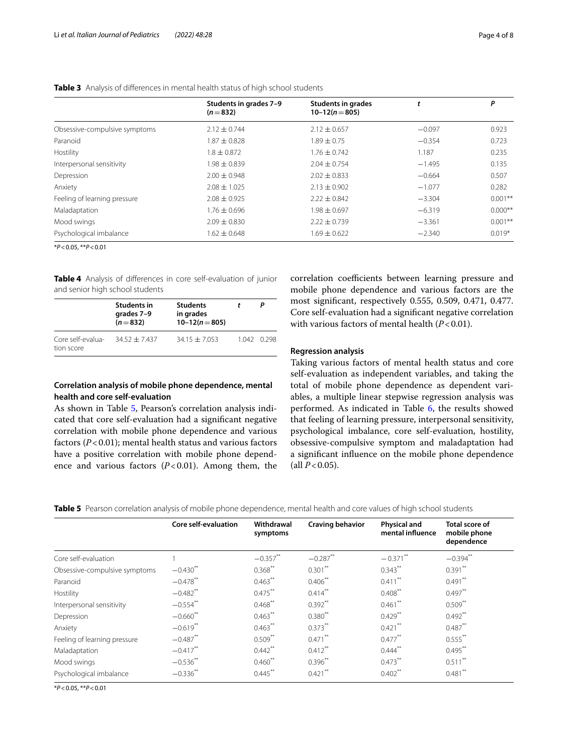|                               | Students in grades 7-9<br>$(n=832)$ | <b>Students in grades</b><br>$10-12(n=805)$ |          | Ρ         |
|-------------------------------|-------------------------------------|---------------------------------------------|----------|-----------|
| Obsessive-compulsive symptoms | $2.12 + 0.744$                      | $2.12 \pm 0.657$                            | $-0.097$ | 0.923     |
| Paranoid                      | $1.87 \pm 0.828$                    | $1.89 + 0.75$                               | $-0.354$ | 0.723     |
| Hostility                     | $1.8 \pm 0.872$                     | $1.76 \pm 0.742$                            | 1.187    | 0.235     |
| Interpersonal sensitivity     | $1.98 \pm 0.839$                    | $2.04 \pm 0.754$                            | $-1.495$ | 0.135     |
| Depression                    | $2.00 \pm 0.948$                    | $2.02 + 0.833$                              | $-0.664$ | 0.507     |
| Anxiety                       | $2.08 \pm 1.025$                    | $2.13 \pm 0.902$                            | $-1.077$ | 0.282     |
| Feeling of learning pressure  | $2.08 \pm 0.925$                    | $2.22 \pm 0.842$                            | $-3.304$ | $0.001**$ |
| Maladaptation                 | $1.76 \pm 0.696$                    | $1.98 + 0.697$                              | $-6.319$ | $0.000**$ |
| Mood swings                   | $2.09 \pm 0.830$                    | $2.22 + 0.739$                              | $-3.361$ | $0.001**$ |
| Psychological imbalance       | $1.62 \pm 0.648$                    | $1.69 \pm 0.622$                            | $-2.340$ | $0.019*$  |

# <span id="page-3-0"></span>**Table 3** Analysis of diferences in mental health status of high school students

\**P*<0.05, \*\**P*<0.01

<span id="page-3-1"></span>**Table 4** Analysis of diferences in core self-evaluation of junior and senior high school students

|                                 | <b>Students in</b><br>grades 7-9<br>$(n=832)$ | <b>Students</b><br>in grades<br>$10-12(n=805)$ |             |
|---------------------------------|-----------------------------------------------|------------------------------------------------|-------------|
| Core self-evalua-<br>tion score | $34.52 + 7.437$                               | $34.15 + 7.053$                                | 1.042 0.298 |

# **Correlation analysis of mobile phone dependence, mental health and core self‑evaluation**

As shown in Table [5](#page-3-2), Pearson's correlation analysis indicated that core self-evaluation had a signifcant negative correlation with mobile phone dependence and various factors (*P*<0.01); mental health status and various factors have a positive correlation with mobile phone dependence and various factors  $(P<0.01)$ . Among them, the correlation coefficients between learning pressure and mobile phone dependence and various factors are the most signifcant, respectively 0.555, 0.509, 0.471, 0.477. Core self-evaluation had a signifcant negative correlation with various factors of mental health ( $P < 0.01$ ).

## **Regression analysis**

Taking various factors of mental health status and core self-evaluation as independent variables, and taking the total of mobile phone dependence as dependent variables, a multiple linear stepwise regression analysis was performed. As indicated in Table [6,](#page-4-0) the results showed that feeling of learning pressure, interpersonal sensitivity, psychological imbalance, core self-evaluation, hostility, obsessive-compulsive symptom and maladaptation had a signifcant infuence on the mobile phone dependence  $\text{(all } P < 0.05\text{).}$ 

<span id="page-3-2"></span>

|  |  |  |  |  | Table 5 Pearson correlation analysis of mobile phone dependence, mental health and core values of high school students |
|--|--|--|--|--|------------------------------------------------------------------------------------------------------------------------|
|  |  |  |  |  |                                                                                                                        |

|                               | Core self-evaluation | Withdrawal<br>symptoms | Craving behavior | <b>Physical and</b><br>mental influence | <b>Total score of</b><br>mobile phone |
|-------------------------------|----------------------|------------------------|------------------|-----------------------------------------|---------------------------------------|
|                               |                      |                        |                  |                                         | dependence                            |
| Core self-evaluation          |                      | $-0.357***$            | $-0.287$ **      | $-0.371$ **                             | $-0.394$ <sup>**</sup>                |
| Obsessive-compulsive symptoms | $-0.430$ **          | $0.368$ **             | $0.301$ **       | $0.343$ **                              | $0.391$ **                            |
| Paranoid                      | $-0.478$ **          | $0.463***$             | $0.406$ **       | $0.411***$                              | $0.491***$                            |
| Hostility                     | $-0.482$ **          | $0.475***$             | $0.414***$       | $0.408**$                               | $0.497**$                             |
| Interpersonal sensitivity     | $-0.554$ **          | $0.468$ **             | $0.392***$       | $0.461$ **                              | $0.509***$                            |
| Depression                    | $-0.660$ **          | $0.463$ **             | $0.380^{**}$     | $0.429$ **                              | $0.492$ **                            |
| Anxiety                       | $-0.619**$           | $0.463$ **             | $0.373***$       | $0.421$ **                              | $0.487**$                             |
| Feeling of learning pressure  | $-0.487$ **          | $0.509***$             | $0.471$ **       | $0.477***$                              | $0.555***$                            |
| Maladaptation                 | $-0.417$ **          | $0.442$ <sup>**</sup>  | $0.412$ **       | $0.444$ <sup>**</sup>                   | $0.495***$                            |
| Mood swings                   | $-0.536$ **          | $0.460$ **             | $0.396$ **       | $0.473***$                              | $0.511$ <sup>**</sup>                 |
| Psychological imbalance       | $-0.336**$           | $0.445***$             | $0.421$ **       | $0.402**$                               | $0.481$ **                            |

\**P*<0.05, \*\**P*<0.01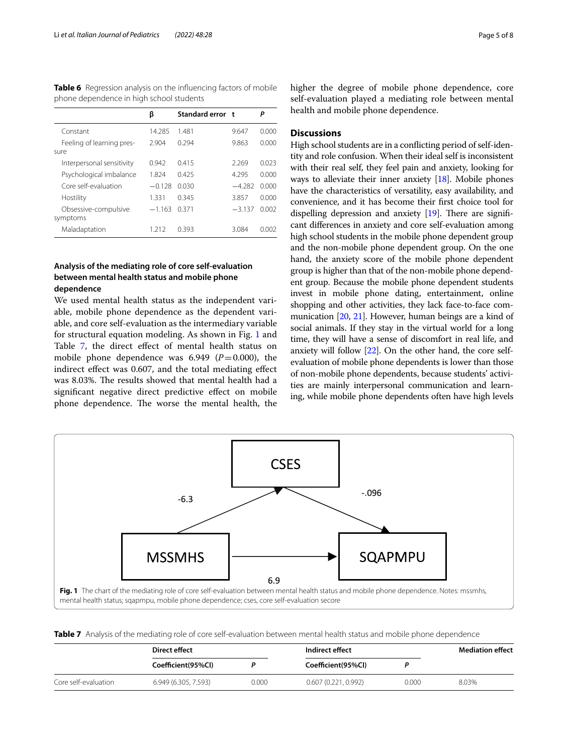<span id="page-4-0"></span>**Table 6** Regression analysis on the infuencing factors of mobile phone dependence in high school students

|                                   | β        | Standard error t |          | Р     |
|-----------------------------------|----------|------------------|----------|-------|
| Constant                          | 14 285   | 1481             | 9.647    | 0.000 |
| Feeling of learning pres-<br>sure | 2.904    | 0.294            | 9.863    | 0.000 |
| Interpersonal sensitivity         | 0.942    | 0.415            | 2.269    | 0.023 |
| Psychological imbalance           | 1.824    | 0.425            | 4.295    | 0.000 |
| Core self-evaluation              | $-0.128$ | 0.030            | $-4.282$ | 0.000 |
| Hostility                         | 1.331    | 0.345            | 3.857    | 0.000 |
| Obsessive-compulsive<br>symptoms  | $-1.163$ | 0.371            | $-3.137$ | 0.002 |
| Maladaptation                     | 1 21 2   | 0.393            | 3.084    | N 002 |

# **Analysis of the mediating role of core self‑evaluation between mental health status and mobile phone dependence**

We used mental health status as the independent variable, mobile phone dependence as the dependent variable, and core self-evaluation as the intermediary variable for structural equation modeling. As shown in Fig. [1](#page-4-1) and Table [7](#page-4-2), the direct effect of mental health status on mobile phone dependence was  $6.949$   $(P=0.000)$ , the indirect efect was 0.607, and the total mediating efect was 8.03%. The results showed that mental health had a signifcant negative direct predictive efect on mobile phone dependence. The worse the mental health, the higher the degree of mobile phone dependence, core self-evaluation played a mediating role between mental health and mobile phone dependence.

# **Discussions**

High school students are in a conficting period of self-identity and role confusion. When their ideal self is inconsistent with their real self, they feel pain and anxiety, looking for ways to alleviate their inner anxiety [\[18\]](#page-6-17). Mobile phones have the characteristics of versatility, easy availability, and convenience, and it has become their frst choice tool for dispelling depression and anxiety  $[19]$  $[19]$  $[19]$ . There are significant diferences in anxiety and core self-evaluation among high school students in the mobile phone dependent group and the non-mobile phone dependent group. On the one hand, the anxiety score of the mobile phone dependent group is higher than that of the non-mobile phone dependent group. Because the mobile phone dependent students invest in mobile phone dating, entertainment, online shopping and other activities, they lack face-to-face communication [\[20,](#page-6-19) [21](#page-6-20)]. However, human beings are a kind of social animals. If they stay in the virtual world for a long time, they will have a sense of discomfort in real life, and anxiety will follow [\[22\]](#page-6-21). On the other hand, the core selfevaluation of mobile phone dependents is lower than those of non-mobile phone dependents, because students' activities are mainly interpersonal communication and learning, while mobile phone dependents often have high levels



<span id="page-4-2"></span><span id="page-4-1"></span>**Table 7** Analysis of the mediating role of core self-evaluation between mental health status and mobile phone dependence

|                      | Direct effect        |       | Indirect effect     |       | <b>Mediation effect</b> |
|----------------------|----------------------|-------|---------------------|-------|-------------------------|
|                      | Coefficient(95%Cl)   |       | Coefficient(95%Cl)  |       |                         |
| Core self-evaluation | 6.949 (6.305, 7.593) | 0.000 | 0.607(0.221, 0.992) | 0.000 | 8.03%                   |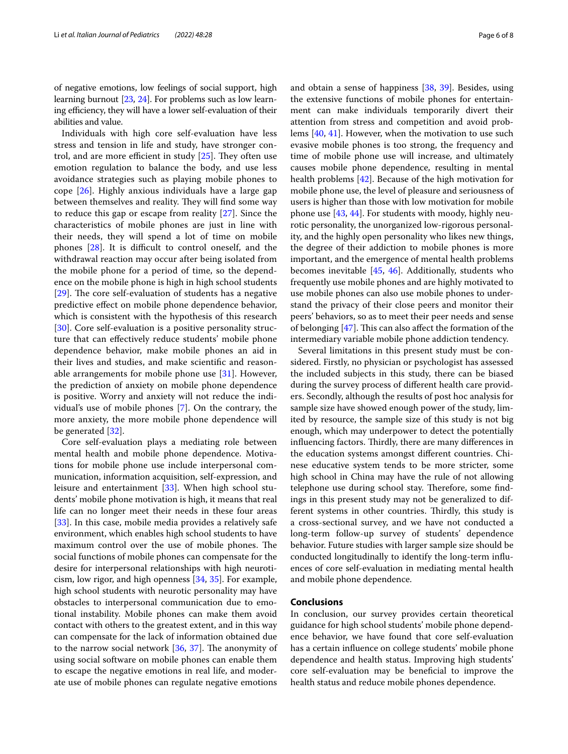of negative emotions, low feelings of social support, high learning burnout [\[23,](#page-6-22) [24](#page-6-23)]. For problems such as low learning efficiency, they will have a lower self-evaluation of their abilities and value.

Individuals with high core self-evaluation have less stress and tension in life and study, have stronger control, and are more efficient in study  $[25]$  $[25]$ . They often use emotion regulation to balance the body, and use less avoidance strategies such as playing mobile phones to cope [[26](#page-6-25)]. Highly anxious individuals have a large gap between themselves and reality. They will find some way to reduce this gap or escape from reality [[27\]](#page-6-26). Since the characteristics of mobile phones are just in line with their needs, they will spend a lot of time on mobile phones  $[28]$  $[28]$ . It is difficult to control oneself, and the withdrawal reaction may occur after being isolated from the mobile phone for a period of time, so the dependence on the mobile phone is high in high school students [ $29$ ]. The core self-evaluation of students has a negative predictive efect on mobile phone dependence behavior, which is consistent with the hypothesis of this research [[30\]](#page-7-1). Core self-evaluation is a positive personality structure that can efectively reduce students' mobile phone dependence behavior, make mobile phones an aid in their lives and studies, and make scientifc and reasonable arrangements for mobile phone use  $[31]$  $[31]$ . However, the prediction of anxiety on mobile phone dependence is positive. Worry and anxiety will not reduce the individual's use of mobile phones [[7\]](#page-6-6). On the contrary, the more anxiety, the more mobile phone dependence will be generated [\[32](#page-7-3)].

Core self-evaluation plays a mediating role between mental health and mobile phone dependence. Motivations for mobile phone use include interpersonal communication, information acquisition, self-expression, and leisure and entertainment [[33\]](#page-7-4). When high school students' mobile phone motivation is high, it means that real life can no longer meet their needs in these four areas [[33\]](#page-7-4). In this case, mobile media provides a relatively safe environment, which enables high school students to have maximum control over the use of mobile phones. The social functions of mobile phones can compensate for the desire for interpersonal relationships with high neuroticism, low rigor, and high openness [\[34,](#page-7-5) [35\]](#page-7-6). For example, high school students with neurotic personality may have obstacles to interpersonal communication due to emotional instability. Mobile phones can make them avoid contact with others to the greatest extent, and in this way can compensate for the lack of information obtained due to the narrow social network  $[36, 37]$  $[36, 37]$  $[36, 37]$  $[36, 37]$ . The anonymity of using social software on mobile phones can enable them to escape the negative emotions in real life, and moderate use of mobile phones can regulate negative emotions and obtain a sense of happiness [[38](#page-7-9), [39](#page-7-10)]. Besides, using the extensive functions of mobile phones for entertainment can make individuals temporarily divert their attention from stress and competition and avoid problems [[40,](#page-7-11) [41](#page-7-12)]. However, when the motivation to use such evasive mobile phones is too strong, the frequency and time of mobile phone use will increase, and ultimately causes mobile phone dependence, resulting in mental health problems [\[42](#page-7-13)]. Because of the high motivation for mobile phone use, the level of pleasure and seriousness of users is higher than those with low motivation for mobile phone use [\[43](#page-7-14), [44\]](#page-7-15). For students with moody, highly neurotic personality, the unorganized low-rigorous personality, and the highly open personality who likes new things, the degree of their addiction to mobile phones is more important, and the emergence of mental health problems becomes inevitable [\[45](#page-7-16), [46](#page-7-17)]. Additionally, students who frequently use mobile phones and are highly motivated to use mobile phones can also use mobile phones to understand the privacy of their close peers and monitor their peers' behaviors, so as to meet their peer needs and sense of belonging  $[47]$  $[47]$ . This can also affect the formation of the intermediary variable mobile phone addiction tendency.

Several limitations in this present study must be considered. Firstly, no physician or psychologist has assessed the included subjects in this study, there can be biased during the survey process of diferent health care providers. Secondly, although the results of post hoc analysis for sample size have showed enough power of the study, limited by resource, the sample size of this study is not big enough, which may underpower to detect the potentially influencing factors. Thirdly, there are many differences in the education systems amongst diferent countries. Chinese educative system tends to be more stricter, some high school in China may have the rule of not allowing telephone use during school stay. Therefore, some findings in this present study may not be generalized to different systems in other countries. Thirdly, this study is a cross-sectional survey, and we have not conducted a long-term follow-up survey of students' dependence behavior. Future studies with larger sample size should be conducted longitudinally to identify the long-term infuences of core self-evaluation in mediating mental health and mobile phone dependence.

# **Conclusions**

In conclusion, our survey provides certain theoretical guidance for high school students' mobile phone dependence behavior, we have found that core self-evaluation has a certain infuence on college students' mobile phone dependence and health status. Improving high students' core self-evaluation may be benefcial to improve the health status and reduce mobile phones dependence.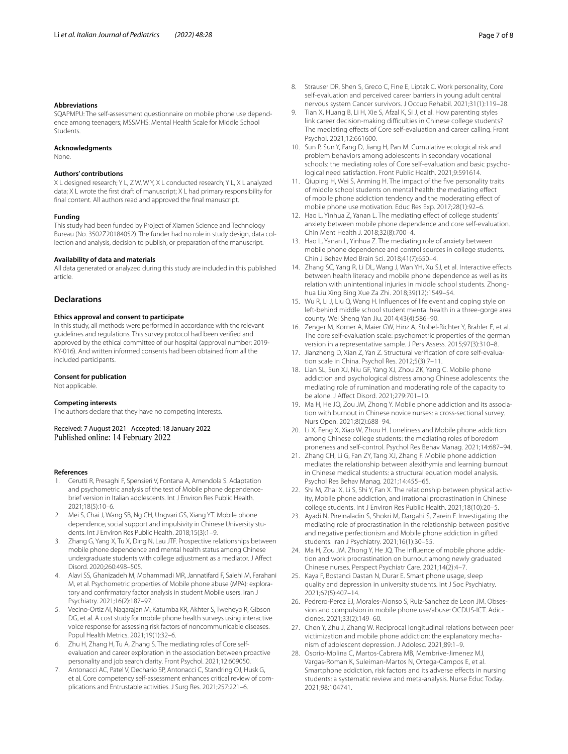#### **Abbreviations**

SQAPMPU: The self-assessment questionnaire on mobile phone use dependence among teenagers; MSSMHS: Mental Health Scale for Middle School Students.

#### **Acknowledgments**

None.

# **Authors' contributions**

X L designed research; Y L, Z W, W Y, X L conducted research; Y L, X L analyzed data; X L wrote the frst draft of manuscript; X L had primary responsibility for fnal content. All authors read and approved the fnal manuscript.

#### **Funding**

This study had been funded by Project of Xiamen Science and Technology Bureau (No. 3502Z20184052). The funder had no role in study design, data collection and analysis, decision to publish, or preparation of the manuscript.

#### **Availability of data and materials**

All data generated or analyzed during this study are included in this published article.

#### **Declarations**

## **Ethics approval and consent to participate**

In this study, all methods were performed in accordance with the relevant guidelines and regulations. This survey protocol had been verifed and approved by the ethical committee of our hospital (approval number: 2019- KY-016). And written informed consents had been obtained from all the included participants.

#### **Consent for publication**

Not applicable.

#### **Competing interests**

The authors declare that they have no competing interests.

Received: 7 August 2021 Accepted: 18 January 2022 Published online: 14 February 2022

#### **References**

- <span id="page-6-0"></span>1. Cerutti R, Presaghi F, Spensieri V, Fontana A, Amendola S. Adaptation and psychometric analysis of the test of Mobile phone dependencebrief version in Italian adolescents. Int J Environ Res Public Health. 2021;18(5):10–6.
- <span id="page-6-1"></span>2. Mei S, Chai J, Wang SB, Ng CH, Ungvari GS, Xiang YT. Mobile phone dependence, social support and impulsivity in Chinese University students. Int J Environ Res Public Health. 2018;15(3):1–9.
- <span id="page-6-2"></span>3. Zhang G, Yang X, Tu X, Ding N, Lau JTF. Prospective relationships between mobile phone dependence and mental health status among Chinese undergraduate students with college adjustment as a mediator. J Afect Disord. 2020;260:498–505.
- <span id="page-6-3"></span>4. Alavi SS, Ghanizadeh M, Mohammadi MR, Jannatifard F, Salehi M, Farahani M, et al. Psychometric properties of Mobile phone abuse (MPA): exploratory and confrmatory factor analysis in student Mobile users. Iran J Psychiatry. 2021;16(2):187–97.
- <span id="page-6-4"></span>5. Vecino-Ortiz AI, Nagarajan M, Katumba KR, Akhter S, Tweheyo R, Gibson DG, et al. A cost study for mobile phone health surveys using interactive voice response for assessing risk factors of noncommunicable diseases. Popul Health Metrics. 2021;19(1):32–6.
- <span id="page-6-5"></span>6. Zhu H, Zhang H, Tu A, Zhang S. The mediating roles of Core selfevaluation and career exploration in the association between proactive personality and job search clarity. Front Psychol. 2021;12:609050.
- <span id="page-6-6"></span>7. Antonacci AC, Patel V, Dechario SP, Antonacci C, Standring OJ, Husk G, et al. Core competency self-assessment enhances critical review of complications and Entrustable activities. J Surg Res. 2021;257:221–6.
- <span id="page-6-7"></span>8. Strauser DR, Shen S, Greco C, Fine E, Liptak C. Work personality, Core self-evaluation and perceived career barriers in young adult central nervous system Cancer survivors. J Occup Rehabil. 2021;31(1):119–28.
- <span id="page-6-8"></span>9. Tian X, Huang B, Li H, Xie S, Afzal K, Si J, et al. How parenting styles link career decision-making difficulties in Chinese college students? The mediating effects of Core self-evaluation and career calling. Front Psychol. 2021;12:661600.
- <span id="page-6-9"></span>10. Sun P, Sun Y, Fang D, Jiang H, Pan M. Cumulative ecological risk and problem behaviors among adolescents in secondary vocational schools: the mediating roles of Core self-evaluation and basic psychological need satisfaction. Front Public Health. 2021;9:591614.
- <span id="page-6-10"></span>11. Qiuping H, Wei S, Anming H. The impact of the fve personality traits of middle school students on mental health: the mediating efect of mobile phone addiction tendency and the moderating efect of mobile phone use motivation. Educ Res Exp. 2017;28(1):92–6.
- <span id="page-6-11"></span>12. Hao L, Yinhua Z, Yanan L. The mediating effect of college students' anxiety between mobile phone dependence and core self-evaluation. Chin Ment Health J. 2018;32(8):700–4.
- <span id="page-6-12"></span>13. Hao L, Yanan L, Yinhua Z. The mediating role of anxiety between mobile phone dependence and control sources in college students. Chin J Behav Med Brain Sci. 2018;41(7):650–4.
- <span id="page-6-13"></span>14. Zhang SC, Yang R, Li DL, Wang J, Wan YH, Xu SJ, et al. Interactive effects between health literacy and mobile phone dependence as well as its relation with unintentional injuries in middle school students. Zhonghua Liu Xing Bing Xue Za Zhi. 2018;39(12):1549–54.
- <span id="page-6-14"></span>15. Wu R, Li J, Liu Q, Wang H. Infuences of life event and coping style on left-behind middle school student mental health in a three-gorge area county. Wei Sheng Yan Jiu. 2014;43(4):586–90.
- <span id="page-6-15"></span>16. Zenger M, Korner A, Maier GW, Hinz A, Stobel-Richter Y, Brahler E, et al. The core self-evaluation scale: psychometric properties of the german version in a representative sample. J Pers Assess. 2015;97(3):310–8.
- <span id="page-6-16"></span>17. Jianzheng D, Xian Z, Yan Z. Structural verifcation of core self-evaluation scale in China. Psychol Res. 2012;5(3):7–11.
- <span id="page-6-17"></span>18. Lian SL, Sun XJ, Niu GF, Yang XJ, Zhou ZK, Yang C. Mobile phone addiction and psychological distress among Chinese adolescents: the mediating role of rumination and moderating role of the capacity to be alone. J Afect Disord. 2021;279:701–10.
- <span id="page-6-18"></span>19. Ma H, He JQ, Zou JM, Zhong Y. Mobile phone addiction and its association with burnout in Chinese novice nurses: a cross-sectional survey. Nurs Open. 2021;8(2):688–94.
- <span id="page-6-19"></span>20. Li X, Feng X, Xiao W, Zhou H. Loneliness and Mobile phone addiction among Chinese college students: the mediating roles of boredom proneness and self-control. Psychol Res Behav Manag. 2021;14:687–94.
- <span id="page-6-20"></span>21. Zhang CH, Li G, Fan ZY, Tang XJ, Zhang F. Mobile phone addiction mediates the relationship between alexithymia and learning burnout in Chinese medical students: a structural equation model analysis. Psychol Res Behav Manag. 2021;14:455–65.
- <span id="page-6-21"></span>22. Shi M, Zhai X, Li S, Shi Y, Fan X. The relationship between physical activity, Mobile phone addiction, and irrational procrastination in Chinese college students. Int J Environ Res Public Health. 2021;18(10):20–5.
- <span id="page-6-22"></span>23. Ayadi N, Pireinaladin S, Shokri M, Dargahi S, Zarein F. Investigating the mediating role of procrastination in the relationship between positive and negative perfectionism and Mobile phone addiction in gifted students. Iran J Psychiatry. 2021;16(1):30–55.
- <span id="page-6-23"></span>24. Ma H, Zou JM, Zhong Y, He JQ. The infuence of mobile phone addiction and work procrastination on burnout among newly graduated Chinese nurses. Perspect Psychiatr Care. 2021;14(2):4–7.
- <span id="page-6-24"></span>25. Kaya F, Bostanci Dastan N, Durar E. Smart phone usage, sleep quality and depression in university students. Int J Soc Psychiatry. 2021;67(5):407–14.
- <span id="page-6-25"></span>26. Pedrero-Perez EJ, Morales-Alonso S, Ruiz-Sanchez de Leon JM. Obsession and compulsion in mobile phone use/abuse: OCDUS-ICT. Adicciones. 2021;33(2):149–60.
- <span id="page-6-26"></span>27. Chen Y, Zhu J, Zhang W. Reciprocal longitudinal relations between peer victimization and mobile phone addiction: the explanatory mechanism of adolescent depression. J Adolesc. 2021;89:1–9.
- <span id="page-6-27"></span>28. Osorio-Molina C, Martos-Cabrera MB, Membrive-Jimenez MJ, Vargas-Roman K, Suleiman-Martos N, Ortega-Campos E, et al. Smartphone addiction, risk factors and its adverse effects in nursing students: a systematic review and meta-analysis. Nurse Educ Today. 2021;98:104741.